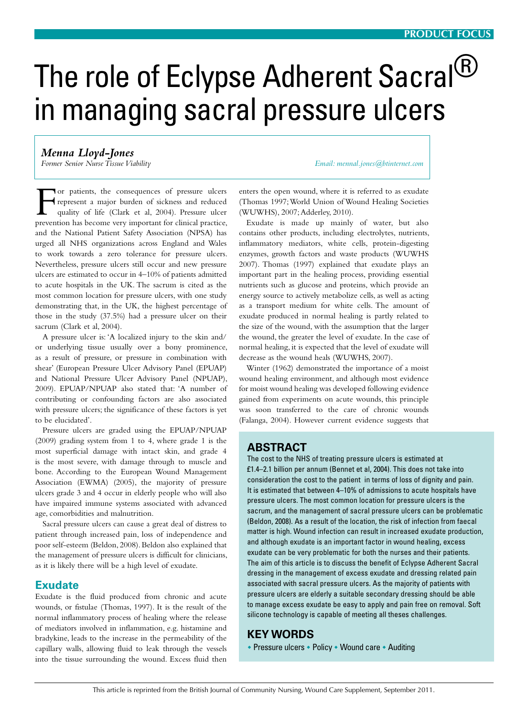# The role of Eclypse Adherent Sacral<sup>®</sup> in managing sacral pressure ulcers

*Menna Lloyd-Jones*

*Former Senior Nurse Tissue Viability Email: mennal.jones@btinternet.com*

For patients, the consequences of pressure ulcers represent a major burden of sickness and reduced quality of life (Clark et al, 2004). Pressure ulcer prevention has become very important for clinical practice, and the National Patient Safety Association (NPSA) has urged all NHS organizations across England and Wales to work towards a zero tolerance for pressure ulcers. Nevertheless, pressure ulcers still occur and new pressure ulcers are estimated to occur in 4–10% of patients admitted to acute hospitals in the UK. The sacrum is cited as the most common location for pressure ulcers, with one study demonstrating that, in the UK, the highest percentage of those in the study (37.5%) had a pressure ulcer on their sacrum (Clark et al, 2004).

A pressure ulcer is: 'A localized injury to the skin and/ or underlying tissue usually over a bony prominence, as a result of pressure, or pressure in combination with shear' (European Pressure Ulcer Advisory Panel (EPUAP) and National Pressure Ulcer Advisory Panel (NPUAP), 2009). EPUAP/NPUAP also stated that: 'A number of contributing or confounding factors are also associated with pressure ulcers; the significance of these factors is yet to be elucidated'.

Pressure ulcers are graded using the EPUAP/NPUAP (2009) grading system from 1 to 4, where grade 1 is the most superficial damage with intact skin, and grade 4 is the most severe, with damage through to muscle and bone. According to the European Wound Management Association (EWMA) (2005), the majority of pressure ulcers grade 3 and 4 occur in elderly people who will also have impaired immune systems associated with advanced age, comorbidities and malnutrition.

Sacral pressure ulcers can cause a great deal of distress to patient through increased pain, loss of independence and poor self-esteem (Beldon, 2008). Beldon also explained that the management of pressure ulcers is difficult for clinicians, as it is likely there will be a high level of exudate.

## **Exudate**

Exudate is the fluid produced from chronic and acute wounds, or fistulae (Thomas, 1997). It is the result of the normal inflammatory process of healing where the release of mediators involved in inflammation, e.g. histamine and bradykine, leads to the increase in the permeability of the capillary walls, allowing fluid to leak through the vessels into the tissue surrounding the wound. Excess fluid then

enters the open wound, where it is referred to as exudate (Thomas 1997; World Union of Wound Healing Societies (WUWHS), 2007; Adderley, 2010).

Exudate is made up mainly of water, but also contains other products, including electrolytes, nutrients, inflammatory mediators, white cells, protein-digesting enzymes, growth factors and waste products (WUWHS 2007). Thomas (1997) explained that exudate plays an important part in the healing process, providing essential nutrients such as glucose and proteins, which provide an energy source to actively metabolize cells, as well as acting as a transport medium for white cells. The amount of exudate produced in normal healing is partly related to the size of the wound, with the assumption that the larger the wound, the greater the level of exudate. In the case of normal healing, it is expected that the level of exudate will decrease as the wound heals (WUWHS, 2007).

Winter (1962) demonstrated the importance of a moist wound healing environment, and although most evidence for moist wound healing was developed following evidence gained from experiments on acute wounds, this principle was soon transferred to the care of chronic wounds (Falanga, 2004). However current evidence suggests that

## **Abstract**

The cost to the NHS of treating pressure ulcers is estimated at £1.4–2.1 billion per annum (Bennet et al, 2004). This does not take into consideration the cost to the patient in terms of loss of dignity and pain. It is estimated that between 4–10% of admissions to acute hospitals have pressure ulcers. The most common location for pressure ulcers is the sacrum, and the management of sacral pressure ulcers can be problematic (Beldon, 2008). As a result of the location, the risk of infection from faecal matter is high. Wound infection can result in increased exudate production, and although exudate is an important factor in wound healing, excess exudate can be very problematic for both the nurses and their patients. The aim of this article is to discuss the benefit of Eclypse Adherent Sacral dressing in the management of excess exudate and dressing related pain associated with sacral pressure ulcers. As the majority of patients with pressure ulcers are elderly a suitable secondary dressing should be able to manage excess exudate be easy to apply and pain free on removal. Soft silicone technology is capable of meeting all theses challenges.

## **KEY WORDS**

• Pressure ulcers • Policy • Wound care • Auditing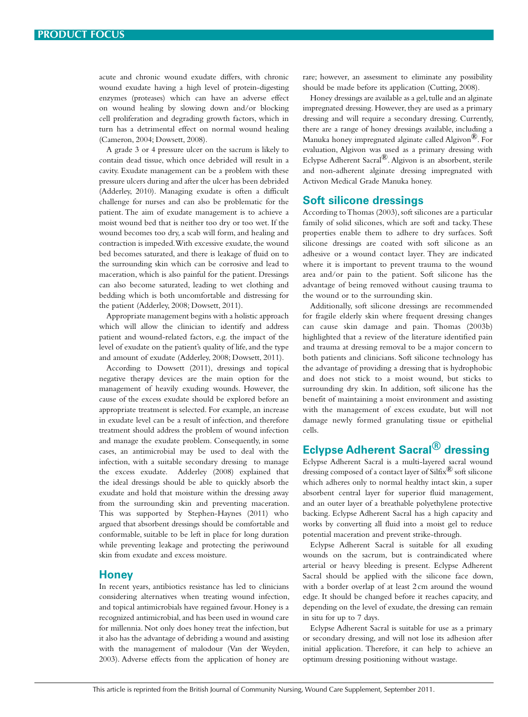acute and chronic wound exudate differs, with chronic wound exudate having a high level of protein-digesting enzymes (proteases) which can have an adverse effect on wound healing by slowing down and/or blocking cell proliferation and degrading growth factors, which in turn has a detrimental effect on normal wound healing (Cameron, 2004; Dowsett, 2008).

A grade 3 or 4 pressure ulcer on the sacrum is likely to contain dead tissue, which once debrided will result in a cavity. Exudate management can be a problem with these pressure ulcers during and after the ulcer has been debrided (Adderley, 2010). Managing exudate is often a difficult challenge for nurses and can also be problematic for the patient. The aim of exudate management is to achieve a moist wound bed that is neither too dry or too wet. If the wound becomes too dry, a scab will form, and healing and contraction is impeded. With excessive exudate, the wound bed becomes saturated, and there is leakage of fluid on to the surrounding skin which can be corrosive and lead to maceration, which is also painful for the patient. Dressings can also become saturated, leading to wet clothing and bedding which is both uncomfortable and distressing for the patient (Adderley, 2008; Dowsett, 2011).

Appropriate management begins with a holistic approach which will allow the clinician to identify and address patient and wound-related factors, e.g. the impact of the level of exudate on the patient's quality of life, and the type and amount of exudate (Adderley, 2008; Dowsett, 2011).

According to Dowsett (2011), dressings and topical negative therapy devices are the main option for the management of heavily exuding wounds. However, the cause of the excess exudate should be explored before an appropriate treatment is selected. For example, an increase in exudate level can be a result of infection, and therefore treatment should address the problem of wound infection and manage the exudate problem. Consequently, in some cases, an antimicrobial may be used to deal with the infection, with a suitable secondary dressing to manage the excess exudate. Adderley (2008) explained that the ideal dressings should be able to quickly absorb the exudate and hold that moisture within the dressing away from the surrounding skin and preventing maceration. This was supported by Stephen-Haynes (2011) who argued that absorbent dressings should be comfortable and conformable, suitable to be left in place for long duration while preventing leakage and protecting the periwound skin from exudate and excess moisture.

### **Honey**

In recent years, antibiotics resistance has led to clinicians considering alternatives when treating wound infection, and topical antimicrobials have regained favour. Honey is a recognized antimicrobial, and has been used in wound care for millennia. Not only does honey treat the infection, but it also has the advantage of debriding a wound and assisting with the management of malodour (Van der Weyden, 2003). Adverse effects from the application of honey are

rare; however, an assessment to eliminate any possibility should be made before its application (Cutting, 2008).

Honey dressings are available as a gel, tulle and an alginate impregnated dressing. However, they are used as a primary dressing and will require a secondary dressing. Currently, there are a range of honey dressings available, including a Manuka honey impregnated alginate called Algivon<sup>®</sup>. For evaluation, Algivon was used as a primary dressing with Eclypse Adherent Sacral®. Algivon is an absorbent, sterile and non-adherent alginate dressing impregnated with Activon Medical Grade Manuka honey.

#### **Soft silicone dressings**

According to Thomas (2003), soft silicones are a particular family of solid silicones, which are soft and tacky. These properties enable them to adhere to dry surfaces. Soft silicone dressings are coated with soft silicone as an adhesive or a wound contact layer. They are indicated where it is important to prevent trauma to the wound area and/or pain to the patient. Soft silicone has the advantage of being removed without causing trauma to the wound or to the surrounding skin.

Additionally, soft silicone dressings are recommended for fragile elderly skin where frequent dressing changes can cause skin damage and pain. Thomas (2003b) highlighted that a review of the literature identified pain and trauma at dressing removal to be a major concern to both patients and clinicians. Soft silicone technology has the advantage of providing a dressing that is hydrophobic and does not stick to a moist wound, but sticks to surrounding dry skin. In addition, soft silicone has the benefit of maintaining a moist environment and assisting with the management of excess exudate, but will not damage newly formed granulating tissue or epithelial cells.

# **Eclypse Adherent Sacral® dressing**

Eclypse Adherent Sacral is a multi-layered sacral wound dressing composed of a contact layer of  $\text{Sifix}^{(8)}$  soft silicone which adheres only to normal healthy intact skin, a super absorbent central layer for superior fluid management, and an outer layer of a breathable polyethylene protective backing. Eclypse Adherent Sacral has a high capacity and works by converting all fluid into a moist gel to reduce potential maceration and prevent strike-through.

Eclypse Adherent Sacral is suitable for all exuding wounds on the sacrum, but is contraindicated where arterial or heavy bleeding is present. Eclypse Adherent Sacral should be applied with the silicone face down, with a border overlap of at least 2 cm around the wound edge. It should be changed before it reaches capacity, and depending on the level of exudate, the dressing can remain in situ for up to 7 days.

Eclypse Adherent Sacral is suitable for use as a primary or secondary dressing, and will not lose its adhesion after initial application. Therefore, it can help to achieve an optimum dressing positioning without wastage.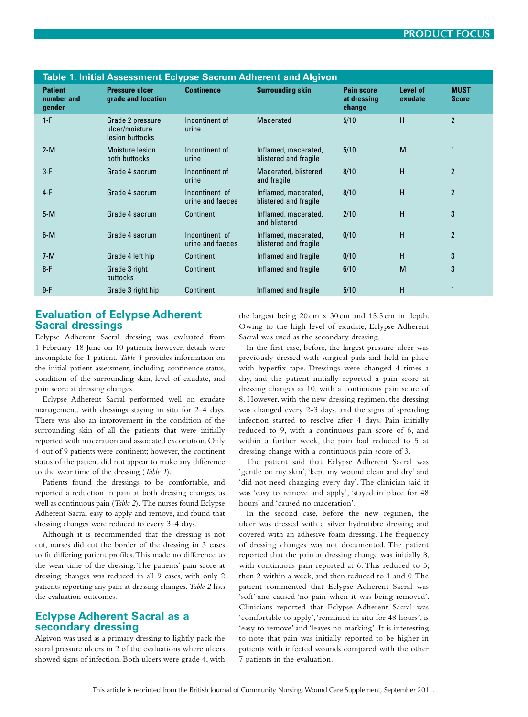| Table 1. Initial Assessment Eclypse Sacrum Adherent and Algivon |                                        |                                                       |                                    |                                               |                                            |                     |                             |  |  |  |  |  |
|-----------------------------------------------------------------|----------------------------------------|-------------------------------------------------------|------------------------------------|-----------------------------------------------|--------------------------------------------|---------------------|-----------------------------|--|--|--|--|--|
|                                                                 | <b>Patient</b><br>number and<br>gender | <b>Pressure ulcer</b><br>grade and location           | <b>Continence</b>                  | <b>Surrounding skin</b>                       | <b>Pain score</b><br>at dressing<br>change | Level of<br>exudate | <b>MUST</b><br><b>Score</b> |  |  |  |  |  |
|                                                                 | $1-F$                                  | Grade 2 pressure<br>ulcer/moisture<br>lesion buttocks | Incontinent of<br>urine            | <b>Macerated</b>                              | 5/10                                       | H                   | $\overline{2}$              |  |  |  |  |  |
|                                                                 | $2-M$                                  | Moisture lesion<br>both buttocks                      | Incontinent of<br>urine            | Inflamed, macerated,<br>blistered and fragile | 5/10                                       | M                   | $\mathbf{1}$                |  |  |  |  |  |
|                                                                 | $3-F$                                  | Grade 4 sacrum                                        | Incontinent of<br>urine            | Macerated, blistered<br>and fragile           | 8/10                                       | H                   | $\overline{2}$              |  |  |  |  |  |
|                                                                 | $4-F$                                  | Grade 4 sacrum                                        | Incontinent of<br>urine and faeces | Inflamed, macerated,<br>blistered and fragile | 8/10                                       | H                   | $\overline{2}$              |  |  |  |  |  |
|                                                                 | $5-M$                                  | Grade 4 sacrum                                        | <b>Continent</b>                   | Inflamed, macerated,<br>and blistered         | 2/10                                       | H                   | 3                           |  |  |  |  |  |
|                                                                 | $6-M$                                  | Grade 4 sacrum                                        | Incontinent of<br>urine and faeces | Inflamed, macerated,<br>blistered and fragile | 0/10                                       | H                   | $\overline{2}$              |  |  |  |  |  |
|                                                                 | $7-M$                                  | Grade 4 left hip                                      | <b>Continent</b>                   | Inflamed and fragile                          | 0/10                                       | H                   | 3                           |  |  |  |  |  |
|                                                                 | $8-F$                                  | Grade 3 right<br><b>buttocks</b>                      | <b>Continent</b>                   | Inflamed and fragile                          | 6/10                                       | M                   | $\mathbf{3}$                |  |  |  |  |  |
|                                                                 | $9-F$                                  | Grade 3 right hip                                     | <b>Continent</b>                   | Inflamed and fragile                          | 5/10                                       | H                   | 1                           |  |  |  |  |  |
|                                                                 |                                        |                                                       |                                    |                                               |                                            |                     |                             |  |  |  |  |  |

## **Evaluation of Eclypse Adherent Sacral dressings**

Eclypse Adherent Sacral dressing was evaluated from 1 February–18 June on 10 patients; however, details were incomplete for 1 patient. *Table 1* provides information on the initial patient assessment, including continence status, condition of the surrounding skin, level of exudate, and pain score at dressing changes.

Eclypse Adherent Sacral performed well on exudate management, with dressings staying in situ for 2–4 days. There was also an improvement in the condition of the surrounding skin of all the patients that were initially reported with maceration and associated excoriation. Only 4 out of 9 patients were continent; however, the continent status of the patient did not appear to make any difference to the wear time of the dressing (*Table 1*).

Patients found the dressings to be comfortable, and reported a reduction in pain at both dressing changes, as well as continuous pain (*Table 2*). The nurses found Eclypse Adherent Sacral easy to apply and remove, and found that dressing changes were reduced to every 3–4 days.

Although it is recommended that the dressing is not cut, nurses did cut the border of the dressing in 3 cases to fit differing patient profiles. This made no difference to the wear time of the dressing. The patients' pain score at dressing changes was reduced in all 9 cases, with only 2 patients reporting any pain at dressing changes. *Table 2* lists the evaluation outcomes.

## **Eclypse Adherent Sacral as a secondary dressing**

Algivon was used as a primary dressing to lightly pack the sacral pressure ulcers in 2 of the evaluations where ulcers showed signs of infection. Both ulcers were grade 4, with

the largest being 20 cm x 30 cm and 15.5 cm in depth. Owing to the high level of exudate, Eclypse Adherent Sacral was used as the secondary dressing.

In the first case, before, the largest pressure ulcer was previously dressed with surgical pads and held in place with hyperfix tape. Dressings were changed 4 times a day, and the patient initially reported a pain score at dressing changes as 10, with a continuous pain score of 8. However, with the new dressing regimen, the dressing was changed every 2-3 days, and the signs of spreading infection started to resolve after 4 days. Pain initially reduced to 9, with a continuous pain score of 6, and within a further week, the pain had reduced to 5 at dressing change with a continuous pain score of 3.

The patient said that Eclypse Adherent Sacral was 'gentle on my skin', 'kept my wound clean and dry' and 'did not need changing every day'. The clinician said it was 'easy to remove and apply', 'stayed in place for 48 hours' and 'caused no maceration'.

In the second case, before the new regimen, the ulcer was dressed with a silver hydrofibre dressing and covered with an adhesive foam dressing. The frequency of dressing changes was not documented. The patient reported that the pain at dressing change was initially 8, with continuous pain reported at 6. This reduced to 5, then 2 within a week, and then reduced to 1 and 0. The patient commented that Eclypse Adherent Sacral was 'soft' and caused 'no pain when it was being removed'. Clinicians reported that Eclypse Adherent Sacral was 'comfortable to apply', 'remained in situ for 48 hours', is 'easy to remove' and 'leaves no marking'. It is interesting to note that pain was initially reported to be higher in patients with infected wounds compared with the other 7 patients in the evaluation.